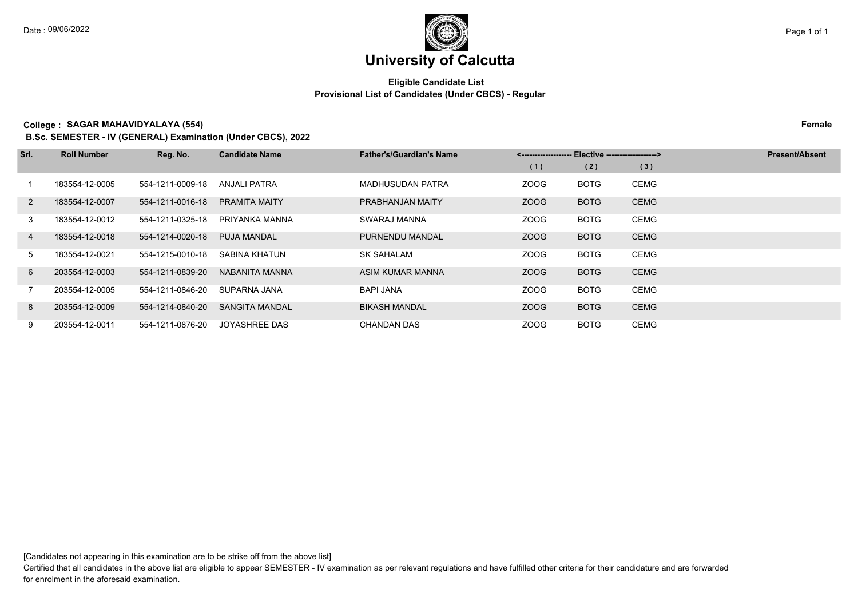## **University of Calcutta**

## **Eligible Candidate List Provisional List of Candidates (Under CBCS) - Regular**

**College : SAGAR MAHAVIDYALAYA (554) Female**

**B.Sc. SEMESTER - IV (GENERAL) Examination (Under CBCS), 2022**

| Srl. | <b>Roll Number</b> | Reg. No.         | <b>Candidate Name</b> | <b>Father's/Guardian's Name</b> | <------------------- Elective ------------------> |             |             | <b>Present/Absent</b> |
|------|--------------------|------------------|-----------------------|---------------------------------|---------------------------------------------------|-------------|-------------|-----------------------|
|      |                    |                  |                       |                                 | (1)                                               | (2)         | (3)         |                       |
|      | 183554-12-0005     | 554-1211-0009-18 | ANJALI PATRA          | <b>MADHUSUDAN PATRA</b>         | ZOOG                                              | <b>BOTG</b> | <b>CEMG</b> |                       |
| 2    | 183554-12-0007     | 554-1211-0016-18 | <b>PRAMITA MAITY</b>  | PRABHANJAN MAITY                | ZOOG                                              | <b>BOTG</b> | <b>CEMG</b> |                       |
| 3    | 183554-12-0012     | 554-1211-0325-18 | PRIYANKA MANNA        | SWARAJ MANNA                    | ZOOG                                              | <b>BOTG</b> | <b>CEMG</b> |                       |
| 4    | 183554-12-0018     | 554-1214-0020-18 | <b>PUJA MANDAL</b>    | PURNENDU MANDAL                 | ZOOG                                              | <b>BOTG</b> | <b>CEMG</b> |                       |
| 5    | 183554-12-0021     | 554-1215-0010-18 | SABINA KHATUN         | <b>SK SAHALAM</b>               | ZOOG                                              | <b>BOTG</b> | <b>CEMG</b> |                       |
| 6    | 203554-12-0003     | 554-1211-0839-20 | NABANITA MANNA        | ASIM KUMAR MANNA                | ZOOG                                              | <b>BOTG</b> | <b>CEMG</b> |                       |
|      | 203554-12-0005     | 554-1211-0846-20 | SUPARNA JANA          | <b>BAPI JANA</b>                | ZOOG                                              | <b>BOTG</b> | <b>CEMG</b> |                       |
| 8    | 203554-12-0009     | 554-1214-0840-20 | <b>SANGITA MANDAL</b> | <b>BIKASH MANDAL</b>            | ZOOG                                              | <b>BOTG</b> | <b>CEMG</b> |                       |
| 9    | 203554-12-0011     | 554-1211-0876-20 | JOYASHREE DAS         | CHANDAN DAS                     | ZOOG                                              | <b>BOTG</b> | <b>CEMG</b> |                       |

[Candidates not appearing in this examination are to be strike off from the above list]

Certified that all candidates in the above list are eligible to appear SEMESTER - IV examination as per relevant regulations and have fulfilled other criteria for their candidature and are forwarded for enrolment in the aforesaid examination.